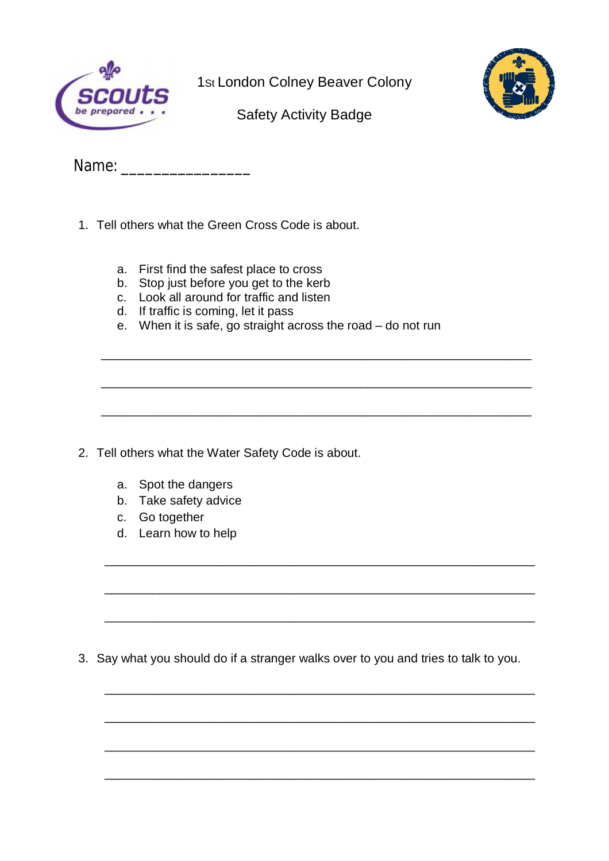

1St London Colney Beaver Colony



Safety Activity Badge

Name:

- 1. Tell others what the Green Cross Code is about.
	- a. First find the safest place to cross
	- b. Stop just before you get to the kerb
	- c. Look all around for traffic and listen
	- d. If traffic is coming, let it pass
	- e. When it is safe, go straight across the road do not run

\_\_\_\_\_\_\_\_\_\_\_\_\_\_\_\_\_\_\_\_\_\_\_\_\_\_\_\_\_\_\_\_\_\_\_\_\_\_\_\_\_\_\_\_\_\_\_\_\_\_\_\_\_\_\_\_\_\_\_\_\_\_\_

\_\_\_\_\_\_\_\_\_\_\_\_\_\_\_\_\_\_\_\_\_\_\_\_\_\_\_\_\_\_\_\_\_\_\_\_\_\_\_\_\_\_\_\_\_\_\_\_\_\_\_\_\_\_\_\_\_\_\_\_\_\_\_

\_\_\_\_\_\_\_\_\_\_\_\_\_\_\_\_\_\_\_\_\_\_\_\_\_\_\_\_\_\_\_\_\_\_\_\_\_\_\_\_\_\_\_\_\_\_\_\_\_\_\_\_\_\_\_\_\_\_\_\_\_\_\_

- 2. Tell others what the Water Safety Code is about.
	- a. Spot the dangers
	- b. Take safety advice
	- c. Go together
	- d. Learn how to help

3. Say what you should do if a stranger walks over to you and tries to talk to you.

\_\_\_\_\_\_\_\_\_\_\_\_\_\_\_\_\_\_\_\_\_\_\_\_\_\_\_\_\_\_\_\_\_\_\_\_\_\_\_\_\_\_\_\_\_\_\_\_\_\_\_\_\_\_\_\_\_\_\_\_\_\_\_

\_\_\_\_\_\_\_\_\_\_\_\_\_\_\_\_\_\_\_\_\_\_\_\_\_\_\_\_\_\_\_\_\_\_\_\_\_\_\_\_\_\_\_\_\_\_\_\_\_\_\_\_\_\_\_\_\_\_\_\_\_\_\_

\_\_\_\_\_\_\_\_\_\_\_\_\_\_\_\_\_\_\_\_\_\_\_\_\_\_\_\_\_\_\_\_\_\_\_\_\_\_\_\_\_\_\_\_\_\_\_\_\_\_\_\_\_\_\_\_\_\_\_\_\_\_\_

\_\_\_\_\_\_\_\_\_\_\_\_\_\_\_\_\_\_\_\_\_\_\_\_\_\_\_\_\_\_\_\_\_\_\_\_\_\_\_\_\_\_\_\_\_\_\_\_\_\_\_\_\_\_\_\_\_\_\_\_\_\_\_

\_\_\_\_\_\_\_\_\_\_\_\_\_\_\_\_\_\_\_\_\_\_\_\_\_\_\_\_\_\_\_\_\_\_\_\_\_\_\_\_\_\_\_\_\_\_\_\_\_\_\_\_\_\_\_\_\_\_\_\_\_\_\_

\_\_\_\_\_\_\_\_\_\_\_\_\_\_\_\_\_\_\_\_\_\_\_\_\_\_\_\_\_\_\_\_\_\_\_\_\_\_\_\_\_\_\_\_\_\_\_\_\_\_\_\_\_\_\_\_\_\_\_\_\_\_\_

\_\_\_\_\_\_\_\_\_\_\_\_\_\_\_\_\_\_\_\_\_\_\_\_\_\_\_\_\_\_\_\_\_\_\_\_\_\_\_\_\_\_\_\_\_\_\_\_\_\_\_\_\_\_\_\_\_\_\_\_\_\_\_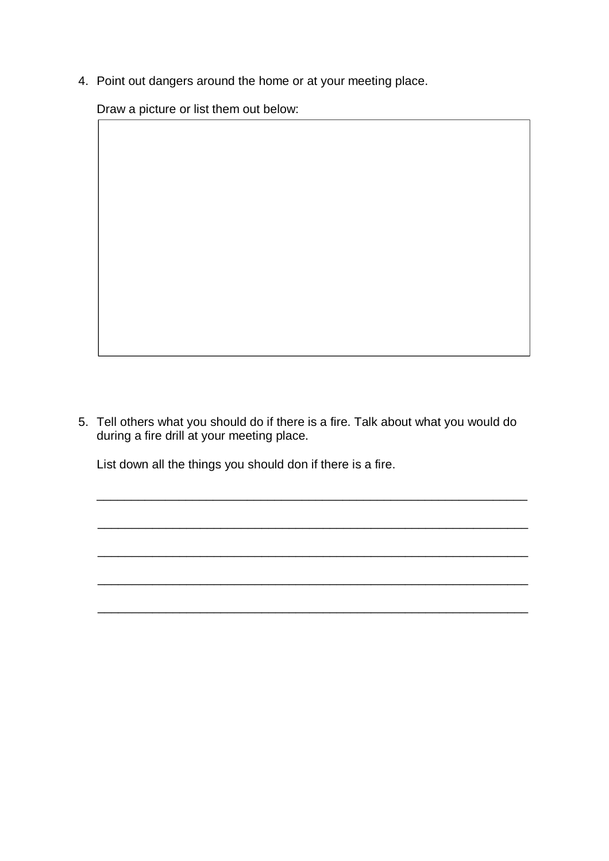4. Point out dangers around the home or at your meeting place.

Draw a picture or list them out below:

5. Tell others what you should do if there is a fire. Talk about what you would do during a fire drill at your meeting place.

\_\_\_\_\_\_\_\_\_\_\_\_\_\_\_\_\_\_\_\_\_\_\_\_\_\_\_\_\_\_\_\_\_\_\_\_\_\_\_\_\_\_\_\_\_\_\_\_\_\_\_\_\_\_\_\_\_\_\_\_\_\_\_

\_\_\_\_\_\_\_\_\_\_\_\_\_\_\_\_\_\_\_\_\_\_\_\_\_\_\_\_\_\_\_\_\_\_\_\_\_\_\_\_\_\_\_\_\_\_\_\_\_\_\_\_\_\_\_\_\_\_\_\_\_\_\_

\_\_\_\_\_\_\_\_\_\_\_\_\_\_\_\_\_\_\_\_\_\_\_\_\_\_\_\_\_\_\_\_\_\_\_\_\_\_\_\_\_\_\_\_\_\_\_\_\_\_\_\_\_\_\_\_\_\_\_\_\_\_\_

\_\_\_\_\_\_\_\_\_\_\_\_\_\_\_\_\_\_\_\_\_\_\_\_\_\_\_\_\_\_\_\_\_\_\_\_\_\_\_\_\_\_\_\_\_\_\_\_\_\_\_\_\_\_\_\_\_\_\_\_\_\_\_

\_\_\_\_\_\_\_\_\_\_\_\_\_\_\_\_\_\_\_\_\_\_\_\_\_\_\_\_\_\_\_\_\_\_\_\_\_\_\_\_\_\_\_\_\_\_\_\_\_\_\_\_\_\_\_\_\_\_\_\_\_\_\_

List down all the things you should don if there is a fire.